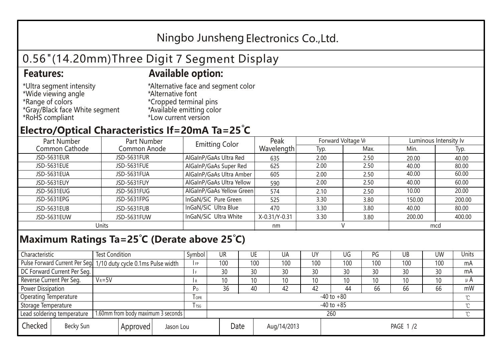## Ningbo Junsheng Electronics Co.,Ltd.

# 0.56"(14.20mm)Three Digit 7 Segment Display

### **Features: Available option:**

- \*Ultra segment intensity \*Wide viewing angle \*Range of colors \*Gray/Black face White segment \*RoHS compliant
- \*Alternative face and segment color \*Alternative font \*Cropped terminal pins \*Available emitting color \*Low current version

### **Electro/Optical Characteristics If=20mA Ta=25 C**

| Part Number    | Part Number        |                           | Peak          | Forward Voltage VF |      | Luminous Intensity lv |        |  |
|----------------|--------------------|---------------------------|---------------|--------------------|------|-----------------------|--------|--|
| Common Cathode | Common Anode       | <b>Emitting Color</b>     | Wavelength    | Typ.               | Max. | Min.                  | Typ.   |  |
| JSD-5631EUR    | <b>JSD-5631FUR</b> | AlGaInP/GaAs Ultra Red    | 635           | 2.00               | 2.50 | 20.00                 | 40.00  |  |
| JSD-5631EUE    | JSD-5631FUE        | AlGaInP/GaAs Super Red    | 625           | 2.00               | 2.50 | 40.00                 | 80.00  |  |
| JSD-5631EUA    | JSD-5631FUA        | AlGaInP/GaAs Ultra Amber  | 605           | 2.00               | 2.50 | 40.00                 | 60.00  |  |
| JSD-5631EUY    | JSD-5631FUY        | AlGaInP/GaAs Ultra Yellow | 590           | 2.00               | 2.50 | 40.00                 | 60.00  |  |
| JSD-5631EUG    | JSD-5631FUG        | AlGaInP/GaAs Yellow Green | 574           | 2.10               | 2.50 | 10.00                 | 20.00  |  |
| JSD-5631EPG    | JSD-5631FPG        | InGaN/SiC Pure Green      | 525           | 3.30               | 3.80 | 150.00                | 200.00 |  |
| JSD-5631EUB    | JSD-5631FUB        | InGaN/SiC Ultra Blue      | 470           | 3.30               | 3.80 | 40.00                 | 80.00  |  |
| JSD-5631EUW    | JSD-5631FUW        | InGaN/SiC Ultra White     | X-0.31/Y-0.31 | 3.30               | 3.80 | 200.00                | 400.00 |  |
| Units          |                    |                           | nm            |                    |      | mcd                   |        |  |

### **Maximum Ratings Ta=25°C (Derate above 25°C)**

| Characteristic                                |            | <b>Test Condition</b><br>Symbol                                  |                                 |                | UR              |  | UE  | UA  | UY  | UG  | PG  | UB              | <b>UW</b> | <b>Units</b> |
|-----------------------------------------------|------------|------------------------------------------------------------------|---------------------------------|----------------|-----------------|--|-----|-----|-----|-----|-----|-----------------|-----------|--------------|
|                                               |            | Pulse Forward Current Per Seg. 1/10 duty cycle 0.1ms Pulse width |                                 |                | 100             |  | 100 | 100 | 100 | 100 | 100 | 100             | 100       | mA           |
| DC Forward Current Per Seg.                   |            |                                                                  |                                 |                | 30              |  | 30  | 30  | 30  | 30  | 30  | 30              | 30        | mA           |
| Reverse Current Per Seg.                      | $V_R = 5V$ |                                                                  |                                 | I R            | 10 <sup>°</sup> |  | 10  | 10  | 10  | 10  | 10  | 10 <sup>°</sup> | 10        | $\mu$ A      |
| <b>Power Dissipation</b>                      |            |                                                                  |                                 |                | 36              |  | 40  | 42  | 42  | 44  | 66  | 66              | 66        | mW           |
| <b>Operating Temperature</b>                  |            |                                                                  | <b>OPR</b>                      | $-40$ to $+80$ |                 |  |     |     |     |     |     |                 | $\sim$    |              |
| Storage Temperature                           |            | <b>I</b> TSG                                                     | $-40$ to $+85$                  |                |                 |  |     |     |     |     |     | $\sim$          |           |              |
| Lead soldering temperature                    |            | 1.60mm from body maximum 3 seconds                               |                                 |                | 260<br>$\gamma$ |  |     |     |     |     |     |                 |           |              |
| Checked<br>Becky Sun<br>Approved<br>Jason Lou |            |                                                                  | Date<br>Aug/14/2013<br>PAGE 1/2 |                |                 |  |     |     |     |     |     |                 |           |              |